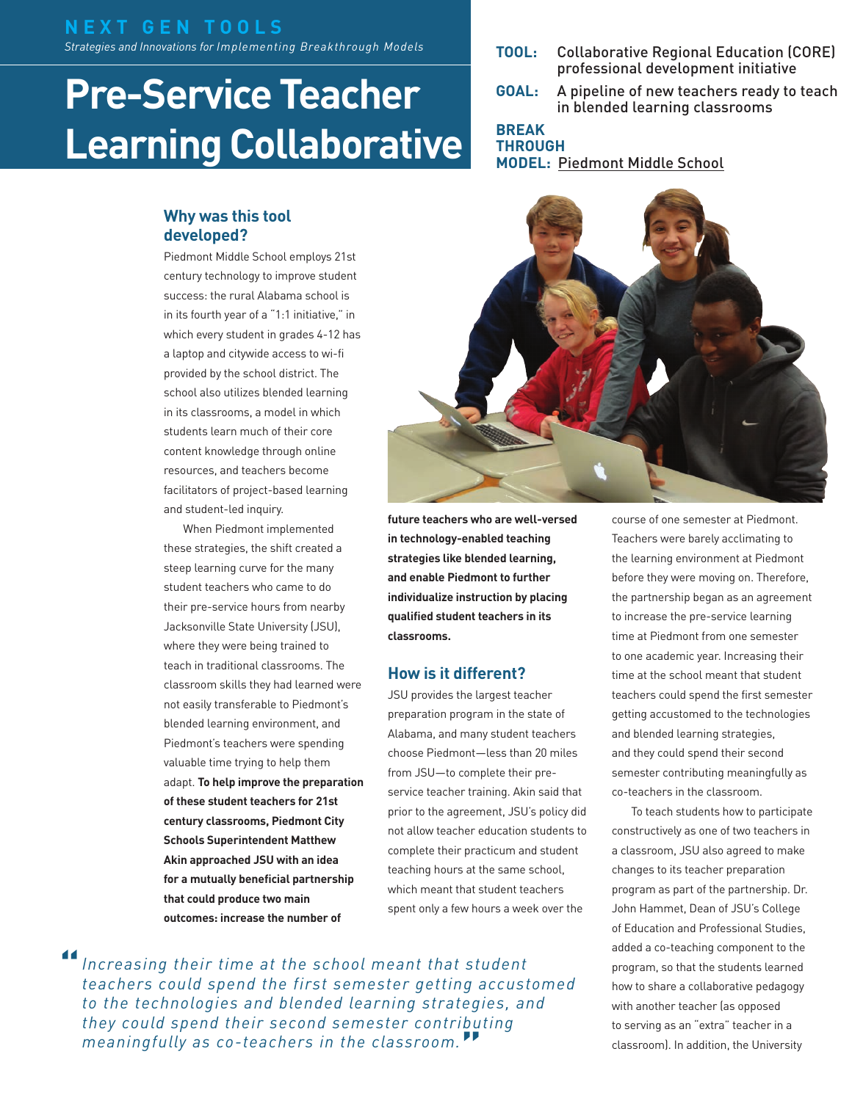#### **N E X T G E N T O O L S**  *Strategies and Innovations for Implementing Breakthrough Models*

# **Pre-Service Teacher Learning Collaborative**

#### **Why was this tool developed?**

Piedmont Middle School employs 21st century technology to improve student success: the rural Alabama school is in its fourth year of a "1:1 initiative," in which every student in grades 4-12 has a laptop and citywide access to wi-fi provided by the school district. The school also utilizes blended learning in its classrooms, a model in which students learn much of their core content knowledge through online resources, and teachers become facilitators of project-based learning and student-led inquiry.

When Piedmont implemented these strategies, the shift created a steep learning curve for the many student teachers who came to do their pre-service hours from nearby Jacksonville State University (JSU), where they were being trained to teach in traditional classrooms. The classroom skills they had learned were not easily transferable to Piedmont's blended learning environment, and Piedmont's teachers were spending valuable time trying to help them adapt. **To help improve the preparation of these student teachers for 21st century classrooms, Piedmont City Schools Superintendent Matthew Akin approached JSU with an idea for a mutually beneficial partnership that could produce two main outcomes: increase the number of** 

- **TOOL:** Collaborative Regional Education (CORE) professional development initiative
- **GOAL:** A pipeline of new teachers ready to teach in blended learning classrooms

#### **BREAK THROUGH**

**MODEL:** [Piedmont Middle School](http://nextgenlearning.org/grantee/piedmont-city-school-district)



**future teachers who are well-versed in technology-enabled teaching strategies like blended learning, and enable Piedmont to further individualize instruction by placing qualified student teachers in its classrooms.** 

#### **How is it different?**

JSU provides the largest teacher preparation program in the state of Alabama, and many student teachers choose Piedmont—less than 20 miles from JSU—to complete their preservice teacher training. Akin said that prior to the agreement, JSU's policy did not allow teacher education students to complete their practicum and student teaching hours at the same school, which meant that student teachers spent only a few hours a week over the

*Increasing their time at the school meant that student teachers could spend the first semester getting accustomed to the technologies and blended learning strategies, and they could spend their second semester contributing meaningfully as co-teachers in the classroom.***" "**

course of one semester at Piedmont. Teachers were barely acclimating to the learning environment at Piedmont before they were moving on. Therefore, the partnership began as an agreement to increase the pre-service learning time at Piedmont from one semester to one academic year. Increasing their time at the school meant that student teachers could spend the first semester getting accustomed to the technologies and blended learning strategies, and they could spend their second semester contributing meaningfully as co-teachers in the classroom.

To teach students how to participate constructively as one of two teachers in a classroom, JSU also agreed to make changes to its teacher preparation program as part of the partnership. Dr. John Hammet, Dean of JSU's College of Education and Professional Studies, added a co-teaching component to the program, so that the students learned how to share a collaborative pedagogy with another teacher (as opposed to serving as an "extra" teacher in a classroom). In addition, the University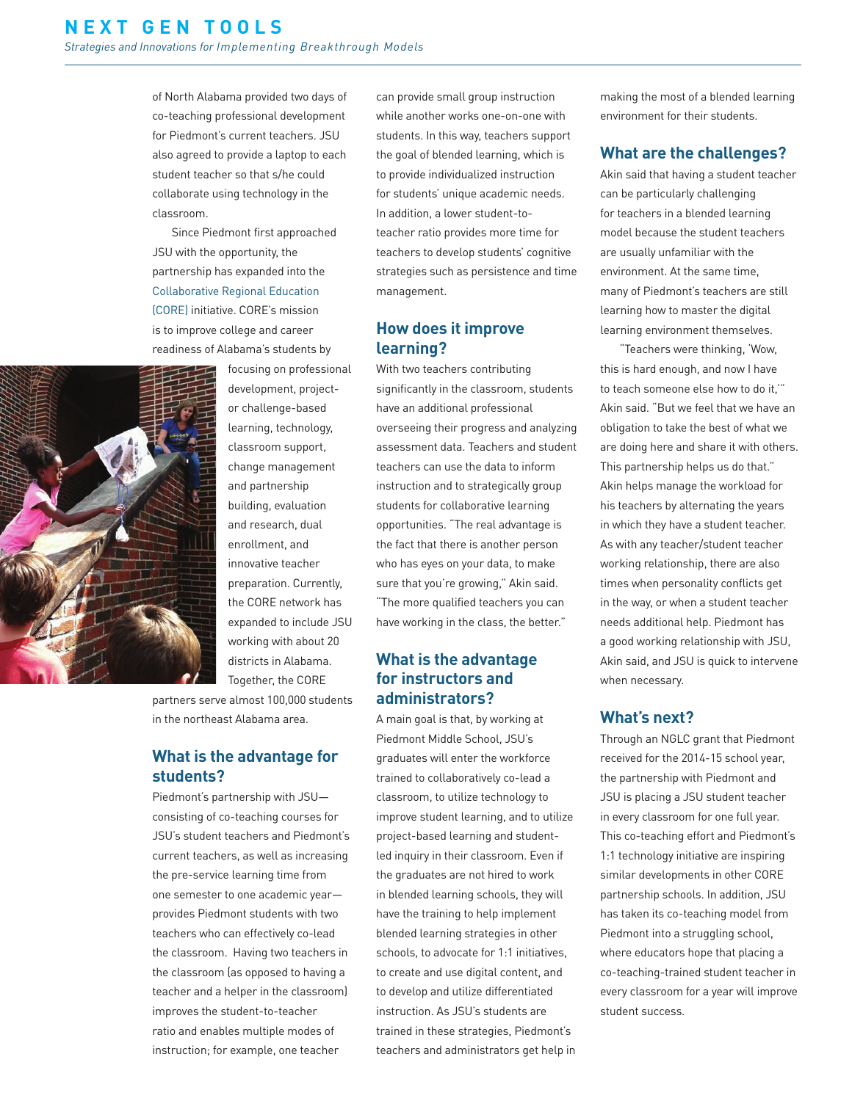of North Alabama provided two days of co-teaching professional development for Piedmont's current teachers. JSU also agreed to provide a laptop to each student teacher so that s/he could collaborate using technology in the classroom.

Since Piedmont first approached JSU with the opportunity, the partnership has expanded into the [Collaborative Regional Education](http://www.corepartners.org/index.html)  [\(CORE\)](http://www.corepartners.org/index.html) initiative. CORE's mission is to improve college and career readiness of Alabama's students by



focusing on professional development, projector challenge-based learning, technology, classroom support, change management and partnership building, evaluation and research, dual enrollment, and innovative teacher preparation. Currently, the CORE network has expanded to include JSU working with about 20 districts in Alabama. Together, the CORE

partners serve almost 100,000 students in the northeast Alabama area.

#### **What is the advantage for students?**

Piedmont's partnership with JSU consisting of co-teaching courses for JSU's student teachers and Piedmont's current teachers, as well as increasing the pre-service learning time from one semester to one academic year provides Piedmont students with two teachers who can effectively co-lead the classroom. Having two teachers in the classroom (as opposed to having a teacher and a helper in the classroom) improves the student-to-teacher ratio and enables multiple modes of instruction; for example, one teacher

can provide small group instruction while another works one-on-one with students. In this way, teachers support the goal of blended learning, which is to provide individualized instruction for students' unique academic needs. In addition, a lower student-toteacher ratio provides more time for teachers to develop students' cognitive strategies such as persistence and time management.

#### **How does it improve learning?**

With two teachers contributing significantly in the classroom, students have an additional professional overseeing their progress and analyzing assessment data. Teachers and student teachers can use the data to inform instruction and to strategically group students for collaborative learning opportunities. "The real advantage is the fact that there is another person who has eyes on your data, to make sure that you're growing," Akin said. "The more qualified teachers you can have working in the class, the better."

#### **What is the advantage for instructors and administrators?**

A main goal is that, by working at Piedmont Middle School, JSU's graduates will enter the workforce trained to collaboratively co-lead a classroom, to utilize technology to improve student learning, and to utilize project-based learning and studentled inquiry in their classroom. Even if the graduates are not hired to work in blended learning schools, they will have the training to help implement blended learning strategies in other schools, to advocate for 1:1 initiatives, to create and use digital content, and to develop and utilize differentiated instruction. As JSU's students are trained in these strategies, Piedmont's teachers and administrators get help in making the most of a blended learning environment for their students.

#### **What are the challenges?**

Akin said that having a student teacher can be particularly challenging for teachers in a blended learning model because the student teachers are usually unfamiliar with the environment. At the same time, many of Piedmont's teachers are still learning how to master the digital learning environment themselves.

"Teachers were thinking, 'Wow, this is hard enough, and now I have to teach someone else how to do it,'" Akin said. "But we feel that we have an obligation to take the best of what we are doing here and share it with others. This partnership helps us do that." Akin helps manage the workload for his teachers by alternating the years in which they have a student teacher. As with any teacher/student teacher working relationship, there are also times when personality conflicts get in the way, or when a student teacher needs additional help. Piedmont has a good working relationship with JSU, Akin said, and JSU is quick to intervene when necessary.

#### **What's next?**

Through an NGLC grant that Piedmont received for the 2014-15 school year, the partnership with Piedmont and JSU is placing a JSU student teacher in every classroom for one full year. This co-teaching effort and Piedmont's 1:1 technology initiative are inspiring similar developments in other CORE partnership schools. In addition, JSU has taken its co-teaching model from Piedmont into a struggling school, where educators hope that placing a co-teaching-trained student teacher in every classroom for a year will improve student success.